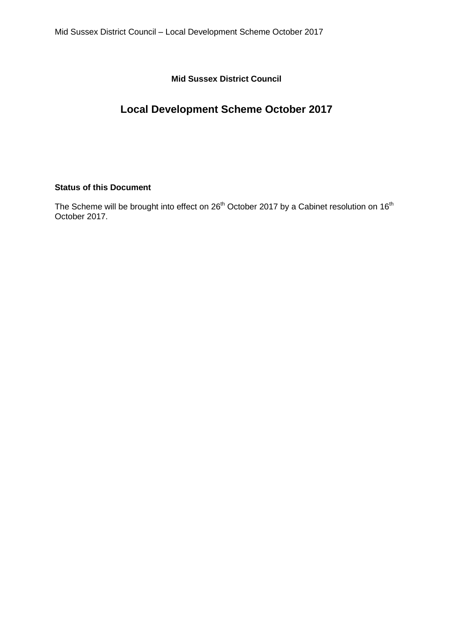**Mid Sussex District Council**

# **Local Development Scheme October 2017**

# **Status of this Document**

The Scheme will be brought into effect on 26<sup>th</sup> October 2017 by a Cabinet resolution on 16<sup>th</sup> October 2017.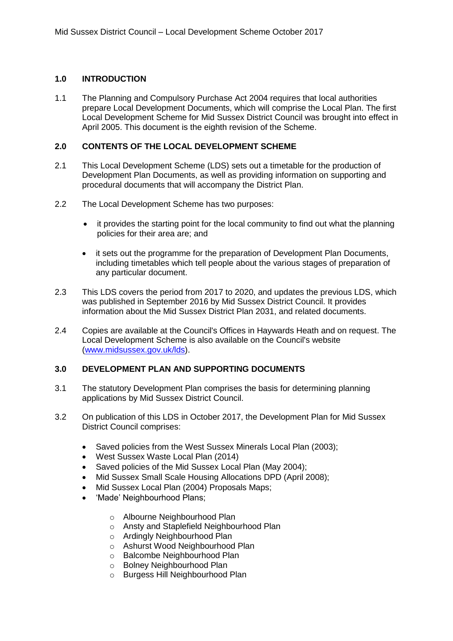## **1.0 INTRODUCTION**

1.1 The Planning and Compulsory Purchase Act 2004 requires that local authorities prepare Local Development Documents, which will comprise the Local Plan. The first Local Development Scheme for Mid Sussex District Council was brought into effect in April 2005. This document is the eighth revision of the Scheme.

### **2.0 CONTENTS OF THE LOCAL DEVELOPMENT SCHEME**

- 2.1 This Local Development Scheme (LDS) sets out a timetable for the production of Development Plan Documents, as well as providing information on supporting and procedural documents that will accompany the District Plan.
- 2.2 The Local Development Scheme has two purposes:
	- it provides the starting point for the local community to find out what the planning policies for their area are; and
	- it sets out the programme for the preparation of Development Plan Documents, including timetables which tell people about the various stages of preparation of any particular document.
- 2.3 This LDS covers the period from 2017 to 2020, and updates the previous LDS, which was published in September 2016 by Mid Sussex District Council. It provides information about the Mid Sussex District Plan 2031, and related documents.
- 2.4 Copies are available at the Council's Offices in Haywards Heath and on request. The Local Development Scheme is also available on the Council's website [\(www.midsussex.gov.uk/lds\)](http://www.midsussex.gov.uk/lds).

## **3.0 DEVELOPMENT PLAN AND SUPPORTING DOCUMENTS**

- 3.1 The statutory Development Plan comprises the basis for determining planning applications by Mid Sussex District Council.
- 3.2 On publication of this LDS in October 2017, the Development Plan for Mid Sussex District Council comprises:
	- Saved policies from the West Sussex Minerals Local Plan (2003);
	- West Sussex Waste Local Plan (2014)
	- Saved policies of the Mid Sussex Local Plan (May 2004):
	- Mid Sussex Small Scale Housing Allocations DPD (April 2008);
	- Mid Sussex Local Plan (2004) Proposals Maps;
	- 'Made' Neighbourhood Plans;
		- o [Albourne Neighbourhood Plan](http://www.midsussex.gov.uk/planning-licensing-building-control/planning-policy/neighbourhood-plans/albourne-neighbourhood-plan/)
		- o Ansty and Staplefield Neighbourhood Plan
		- o [Ardingly Neighbourhood Plan](http://www.midsussex.gov.uk/planning-licensing-building-control/planning-policy/neighbourhood-plans/ardingly-neighbourhood-plan/)
		- o [Ashurst Wood Neighbourhood Plan](http://www.midsussex.gov.uk/planning-licensing-building-control/planning-policy/neighbourhood-plans/ashurst-wood-neighbourhood-plan/)
		- o [Balcombe Neighbourhood Plan](http://www.midsussex.gov.uk/planning-licensing-building-control/planning-policy/neighbourhood-plans/balcombe-neighbourhood-plan/)
		- o [Bolney Neighbourhood Plan](http://www.midsussex.gov.uk/planning-licensing-building-control/planning-policy/neighbourhood-plans/bolney-neighbourhood-plan/)
		- o [Burgess Hill Neighbourhood Plan](http://www.midsussex.gov.uk/planning-licensing-building-control/planning-policy/neighbourhood-plans/burgess-hill-neighbourhood-plan/)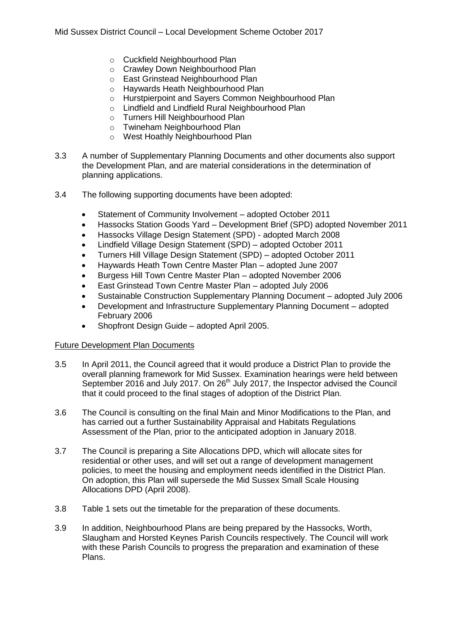- o [Cuckfield Neighbourhood Plan](http://www.midsussex.gov.uk/planning-licensing-building-control/planning-policy/neighbourhood-plans/cuckfield-neighbourhood-plan/)
- o [Crawley Down Neighbourhood Plan](http://www.midsussex.gov.uk/planning-licensing-building-control/planning-policy/neighbourhood-plans/crawley-down-neighbourhood-plan/)
- o [East Grinstead Neighbourhood Plan](http://www.midsussex.gov.uk/planning-licensing-building-control/planning-policy/neighbourhood-plans/east-grinstead-neighbourhood-plan/)
- o Haywards Heath Neighbourhood Plan
- o [Hurstpierpoint and Sayers Common Neighbourhood Plan](http://www.midsussex.gov.uk/planning-licensing-building-control/planning-policy/neighbourhood-plans/hurstpierpoint-and-sayers-common-neighbourhood-plan/)
- o [Lindfield and Lindfield Rural Neighbourhood Plan](http://www.midsussex.gov.uk/planning-licensing-building-control/planning-policy/neighbourhood-plans/lindfield-and-lindfield-rural-neighbourhood-plan/)
- o [Turners Hill Neighbourhood Plan](http://www.midsussex.gov.uk/planning-licensing-building-control/planning-policy/neighbourhood-plans/turners-hill-neighbourhood-plan/)
- o [Twineham Neighbourhood Plan](http://www.midsussex.gov.uk/planning-licensing-building-control/planning-policy/neighbourhood-plans/twineham-neighbourhood-plan/)
- o [West Hoathly Neighbourhood Plan](http://www.midsussex.gov.uk/planning-licensing-building-control/planning-policy/neighbourhood-plans/west-hoathly-neighbourhood-plan/)
- 3.3 A number of Supplementary Planning Documents and other documents also support the Development Plan, and are material considerations in the determination of planning applications.
- 3.4 The following supporting documents have been adopted:
	- Statement of Community Involvement adopted October 2011
	- Hassocks Station Goods Yard Development Brief (SPD) adopted November 2011
	- Hassocks Village Design Statement (SPD) adopted March 2008
	- Lindfield Village Design Statement (SPD) adopted October 2011
	- Turners Hill Village Design Statement (SPD) adopted October 2011
	- Haywards Heath Town Centre Master Plan adopted June 2007
	- Burgess Hill Town Centre Master Plan adopted November 2006
	- East Grinstead Town Centre Master Plan adopted July 2006
	- Sustainable Construction Supplementary Planning Document adopted July 2006
	- Development and Infrastructure Supplementary Planning Document adopted February 2006
	- Shopfront Design Guide adopted April 2005.

## Future Development Plan Documents

- 3.5 In April 2011, the Council agreed that it would produce a District Plan to provide the overall planning framework for Mid Sussex. Examination hearings were held between September 2016 and July 2017. On 26<sup>th</sup> July 2017, the Inspector advised the Council that it could proceed to the final stages of adoption of the District Plan.
- 3.6 The Council is consulting on the final Main and Minor Modifications to the Plan, and has carried out a further Sustainability Appraisal and Habitats Regulations Assessment of the Plan, prior to the anticipated adoption in January 2018.
- 3.7 The Council is preparing a Site Allocations DPD, which will allocate sites for residential or other uses, and will set out a range of development management policies, to meet the housing and employment needs identified in the District Plan. On adoption, this Plan will supersede the Mid Sussex Small Scale Housing Allocations DPD (April 2008).
- 3.8 Table 1 sets out the timetable for the preparation of these documents.
- 3.9 In addition, Neighbourhood Plans are being prepared by the Hassocks, Worth, Slaugham and Horsted Keynes Parish Councils respectively. The Council will work with these Parish Councils to progress the preparation and examination of these Plans.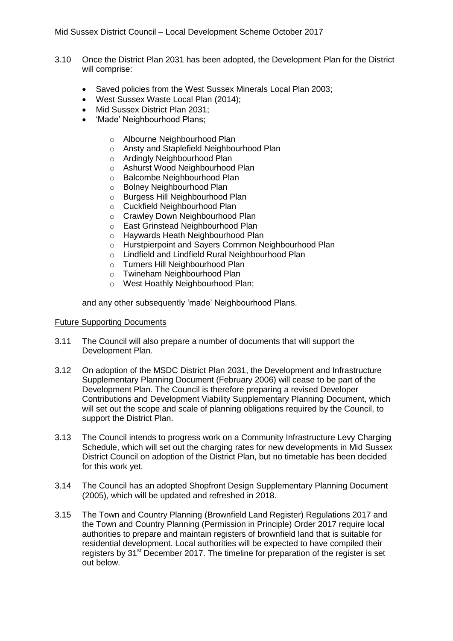- 3.10 Once the District Plan 2031 has been adopted, the Development Plan for the District will comprise:
	- Saved policies from the West Sussex Minerals Local Plan 2003;
	- West Sussex Waste Local Plan (2014);
	- Mid Sussex District Plan 2031;
	- 'Made' Neighbourhood Plans;
		- o [Albourne Neighbourhood Plan](http://www.midsussex.gov.uk/planning-licensing-building-control/planning-policy/neighbourhood-plans/albourne-neighbourhood-plan/)
		- o Ansty and Staplefield Neighbourhood Plan
		- o [Ardingly Neighbourhood Plan](http://www.midsussex.gov.uk/planning-licensing-building-control/planning-policy/neighbourhood-plans/ardingly-neighbourhood-plan/)
		- o [Ashurst Wood Neighbourhood Plan](http://www.midsussex.gov.uk/planning-licensing-building-control/planning-policy/neighbourhood-plans/ashurst-wood-neighbourhood-plan/)
		- o [Balcombe Neighbourhood Plan](http://www.midsussex.gov.uk/planning-licensing-building-control/planning-policy/neighbourhood-plans/balcombe-neighbourhood-plan/)
		- o [Bolney Neighbourhood Plan](http://www.midsussex.gov.uk/planning-licensing-building-control/planning-policy/neighbourhood-plans/bolney-neighbourhood-plan/)
		- o [Burgess Hill Neighbourhood Plan](http://www.midsussex.gov.uk/planning-licensing-building-control/planning-policy/neighbourhood-plans/burgess-hill-neighbourhood-plan/)
		- o [Cuckfield Neighbourhood Plan](http://www.midsussex.gov.uk/planning-licensing-building-control/planning-policy/neighbourhood-plans/cuckfield-neighbourhood-plan/)
		- o [Crawley Down Neighbourhood Plan](http://www.midsussex.gov.uk/planning-licensing-building-control/planning-policy/neighbourhood-plans/crawley-down-neighbourhood-plan/)
		- o [East Grinstead Neighbourhood Plan](http://www.midsussex.gov.uk/planning-licensing-building-control/planning-policy/neighbourhood-plans/east-grinstead-neighbourhood-plan/)
		- o Haywards Heath Neighbourhood Plan
		- o [Hurstpierpoint and Sayers Common Neighbourhood Plan](http://www.midsussex.gov.uk/planning-licensing-building-control/planning-policy/neighbourhood-plans/hurstpierpoint-and-sayers-common-neighbourhood-plan/)
		- o [Lindfield and Lindfield Rural Neighbourhood Plan](http://www.midsussex.gov.uk/planning-licensing-building-control/planning-policy/neighbourhood-plans/lindfield-and-lindfield-rural-neighbourhood-plan/)
		- o [Turners Hill Neighbourhood Plan](http://www.midsussex.gov.uk/planning-licensing-building-control/planning-policy/neighbourhood-plans/turners-hill-neighbourhood-plan/)
		- o [Twineham Neighbourhood Plan](http://www.midsussex.gov.uk/planning-licensing-building-control/planning-policy/neighbourhood-plans/twineham-neighbourhood-plan/)
		- o [West Hoathly Neighbourhood Plan;](http://www.midsussex.gov.uk/planning-licensing-building-control/planning-policy/neighbourhood-plans/west-hoathly-neighbourhood-plan/)

and any other subsequently 'made' Neighbourhood Plans.

### Future Supporting Documents

- 3.11 The Council will also prepare a number of documents that will support the Development Plan.
- 3.12 On adoption of the MSDC District Plan 2031, the Development and Infrastructure Supplementary Planning Document (February 2006) will cease to be part of the Development Plan. The Council is therefore preparing a revised Developer Contributions and Development Viability Supplementary Planning Document, which will set out the scope and scale of planning obligations required by the Council, to support the District Plan.
- 3.13 The Council intends to progress work on a Community Infrastructure Levy Charging Schedule, which will set out the charging rates for new developments in Mid Sussex District Council on adoption of the District Plan, but no timetable has been decided for this work yet.
- 3.14 The Council has an adopted Shopfront Design Supplementary Planning Document (2005), which will be updated and refreshed in 2018.
- 3.15 The Town and Country Planning (Brownfield Land Register) Regulations 2017 and the Town and Country Planning (Permission in Principle) Order 2017 require local authorities to prepare and maintain registers of brownfield land that is suitable for residential development. Local authorities will be expected to have compiled their registers by 31<sup>st</sup> December 2017. The timeline for preparation of the register is set out below.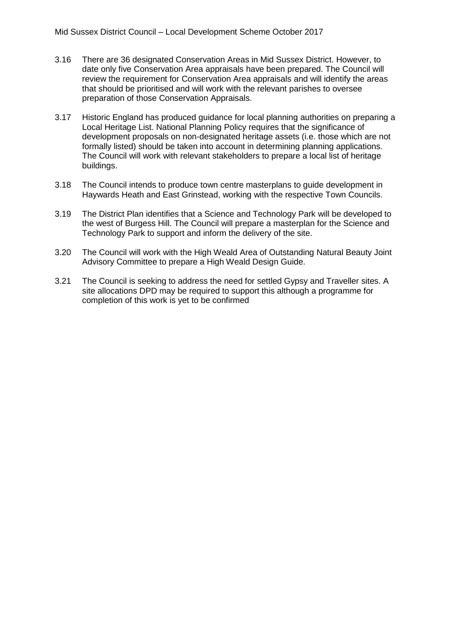- 3.16 There are 36 designated Conservation Areas in Mid Sussex District. However, to date only five Conservation Area appraisals have been prepared. The Council will review the requirement for Conservation Area appraisals and will identify the areas that should be prioritised and will work with the relevant parishes to oversee preparation of those Conservation Appraisals.
- 3.17 Historic England has produced guidance for local planning authorities on preparing a Local Heritage List. National Planning Policy requires that the significance of development proposals on non-designated heritage assets (i.e. those which are not formally listed) should be taken into account in determining planning applications. The Council will work with relevant stakeholders to prepare a local list of heritage buildings.
- 3.18 The Council intends to produce town centre masterplans to guide development in Haywards Heath and East Grinstead, working with the respective Town Councils.
- 3.19 The District Plan identifies that a Science and Technology Park will be developed to the west of Burgess Hill. The Council will prepare a masterplan for the Science and Technology Park to support and inform the delivery of the site.
- 3.20 The Council will work with the High Weald Area of Outstanding Natural Beauty Joint Advisory Committee to prepare a High Weald Design Guide.
- 3.21 The Council is seeking to address the need for settled Gypsy and Traveller sites. A site allocations DPD may be required to support this although a programme for completion of this work is yet to be confirmed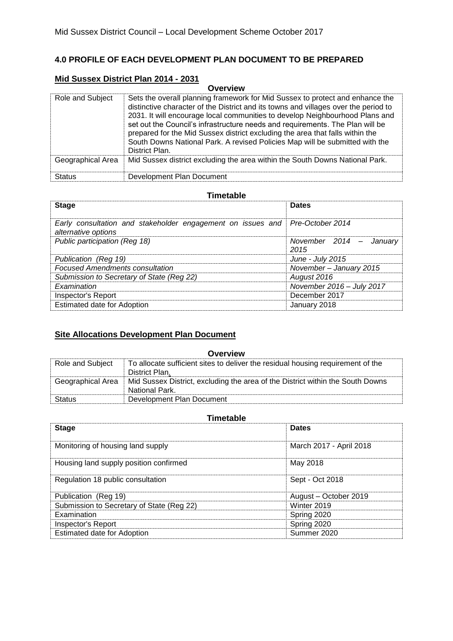# **4.0 PROFILE OF EACH DEVELOPMENT PLAN DOCUMENT TO BE PREPARED**

# **Mid Sussex District Plan 2014 - 2031**

|                   | <b>Overview</b>                                                                                                                                                                                                                                                                                                                                                                                                                                                                                                          |
|-------------------|--------------------------------------------------------------------------------------------------------------------------------------------------------------------------------------------------------------------------------------------------------------------------------------------------------------------------------------------------------------------------------------------------------------------------------------------------------------------------------------------------------------------------|
| Role and Subject  | Sets the overall planning framework for Mid Sussex to protect and enhance the<br>distinctive character of the District and its towns and villages over the period to<br>2031. It will encourage local communities to develop Neighbourhood Plans and<br>set out the Council's infrastructure needs and requirements. The Plan will be<br>prepared for the Mid Sussex district excluding the area that falls within the<br>South Downs National Park. A revised Policies Map will be submitted with the<br>District Plan. |
| Geographical Area | Mid Sussex district excluding the area within the South Downs National Park.                                                                                                                                                                                                                                                                                                                                                                                                                                             |
| <b>Status</b>     | Development Plan Document                                                                                                                                                                                                                                                                                                                                                                                                                                                                                                |

#### **Timetable**

| <b>Stage</b>                                                                                        | <b>Dates</b>                    |
|-----------------------------------------------------------------------------------------------------|---------------------------------|
| Early consultation and stakeholder engagement on issues and Pre-October 2014<br>alternative options |                                 |
| Public participation (Reg 18)                                                                       | November 2014 - January<br>2015 |
| Publication (Reg 19)                                                                                | June - July 2015                |
| <b>Focused Amendments consultation</b>                                                              | November-January 2015           |
| Submission to Secretary of State (Reg 22)                                                           | August 2016                     |
| Examination                                                                                         | November 2016 - July 2017       |
| Inspector's Report                                                                                  | December 2017                   |
| <b>Estimated date for Adoption</b>                                                                  | January 2018                    |

# **Site Allocations Development Plan Document**

| Overview          |                                                                                                   |  |  |  |  |  |  |  |  |  |
|-------------------|---------------------------------------------------------------------------------------------------|--|--|--|--|--|--|--|--|--|
| Role and Subject  | To allocate sufficient sites to deliver the residual housing requirement of the<br>District Plan. |  |  |  |  |  |  |  |  |  |
| Geographical Area | Mid Sussex District, excluding the area of the District within the South Downs<br>National Park.  |  |  |  |  |  |  |  |  |  |
| Status            | Development Plan Document                                                                         |  |  |  |  |  |  |  |  |  |

# **Timetable**

| <b>Stage</b>                              | <b>Dates</b>            |
|-------------------------------------------|-------------------------|
| Monitoring of housing land supply         | March 2017 - April 2018 |
| Housing land supply position confirmed    | May 2018                |
| Regulation 18 public consultation         | Sept - Oct 2018         |
| Publication (Reg 19)                      | August - October 2019   |
| Submission to Secretary of State (Reg 22) | Winter 2019             |
| Examination                               | Spring 2020             |
| <b>Inspector's Report</b>                 | Spring 2020             |
| <b>Estimated date for Adoption</b>        | Summer 2020             |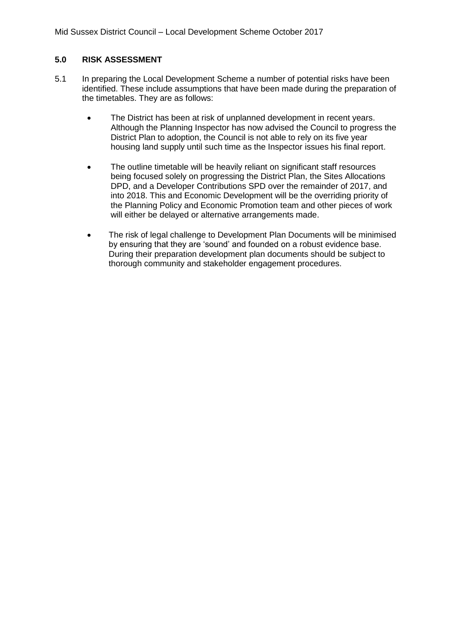### **5.0 RISK ASSESSMENT**

- 5.1 In preparing the Local Development Scheme a number of potential risks have been identified. These include assumptions that have been made during the preparation of the timetables. They are as follows:
	- The District has been at risk of unplanned development in recent years. Although the Planning Inspector has now advised the Council to progress the District Plan to adoption, the Council is not able to rely on its five year housing land supply until such time as the Inspector issues his final report.
	- The outline timetable will be heavily reliant on significant staff resources being focused solely on progressing the District Plan, the Sites Allocations DPD, and a Developer Contributions SPD over the remainder of 2017, and into 2018. This and Economic Development will be the overriding priority of the Planning Policy and Economic Promotion team and other pieces of work will either be delayed or alternative arrangements made.
	- The risk of legal challenge to Development Plan Documents will be minimised by ensuring that they are 'sound' and founded on a robust evidence base. During their preparation development plan documents should be subject to thorough community and stakeholder engagement procedures.